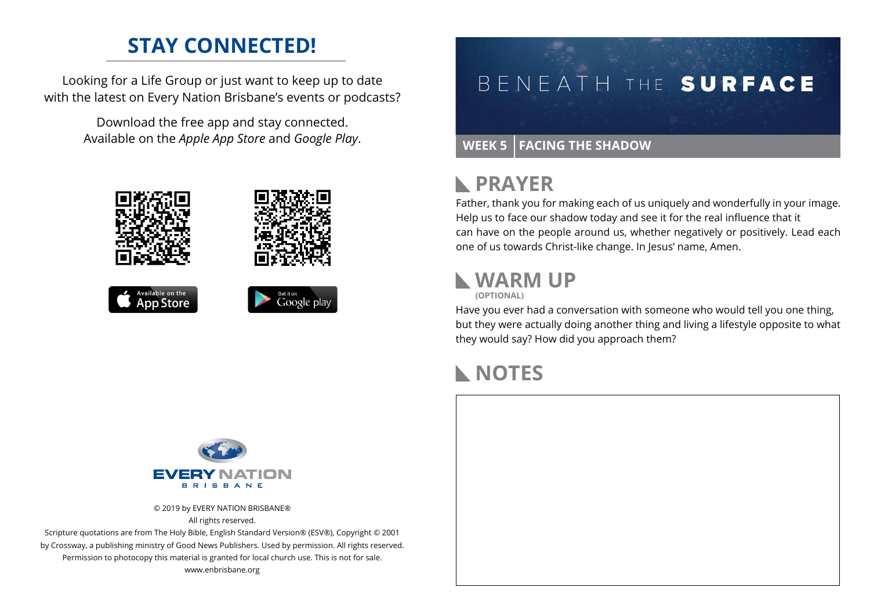## **STAY CONNECTED!**

Looking for a Life Group or just want to keep up to date with the latest on Every Nation Brisbane's events or podcasts?

> Download the free app and stay connected. Available on the *Apple App Store* and *Google Play*.





#### **PRAYER**  $\mathbb{R}$

Father, thank you for making each of us uniquely and wonderfully in your image. Help us to face our shadow today and see it for the real influence that it can have on the people around us, whether negatively or positively. Lead each one of us towards Christ-like change. In Jesus' name, Amen.

## **WARM UP**

**(OPTIONAL)**

Have you ever had a conversation with someone who would tell you one thing, but they were actually doing another thing and living a lifestyle opposite to what they would say? How did you approach them?

## **NOTES**



© 2019 by EVERY NATION BRISBANE® All rights reserved.

Scripture quotations are from The Holy Bible, English Standard Version® (ESV®), Copyright © 2001 by Crossway, a publishing ministry of Good News Publishers. Used by permission. All rights reserved. Permission to photocopy this material is granted for local church use. This is not for sale. www.enbrisbane.org